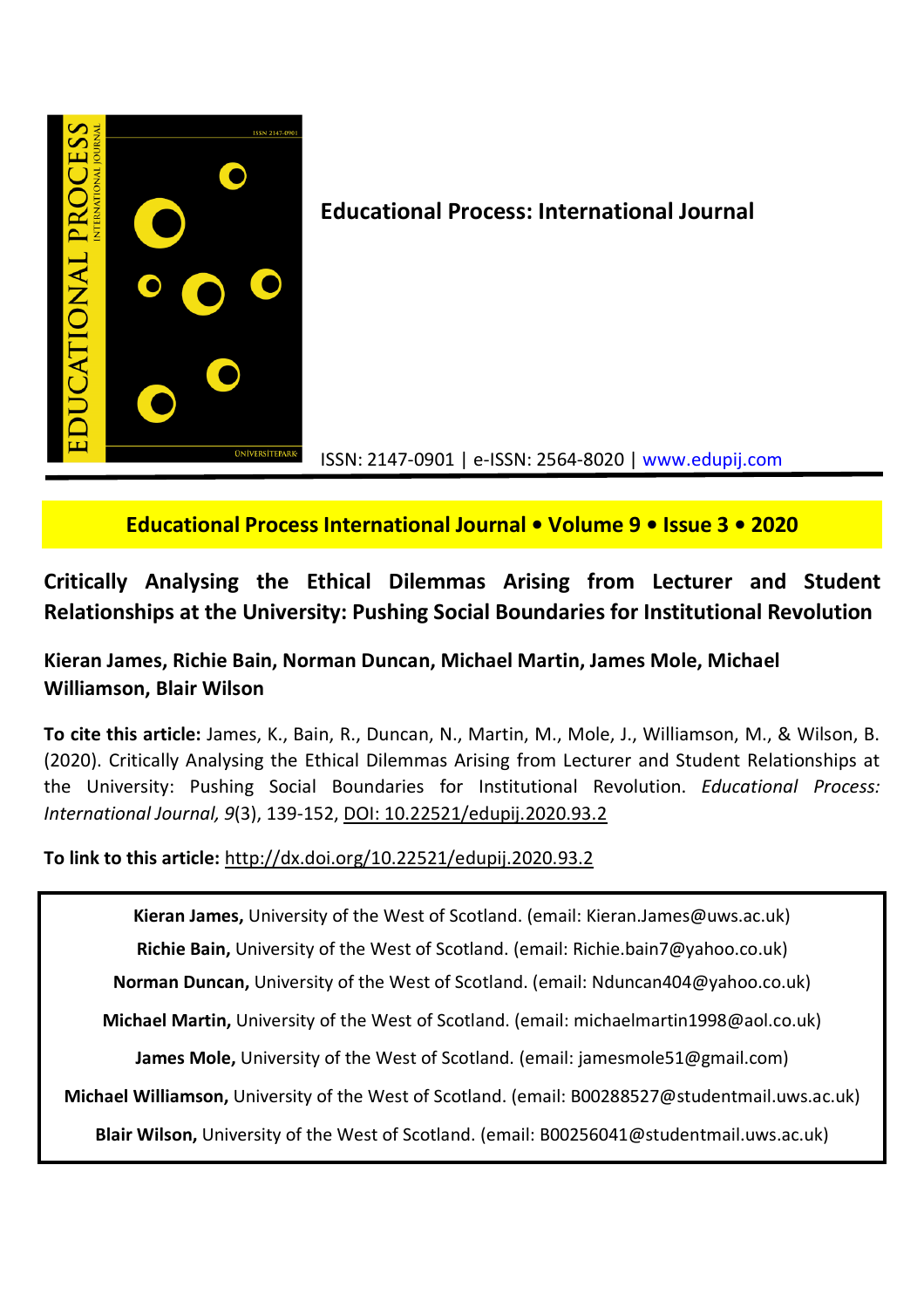

**Educational Process: International Journal**

ISSN: 2147-0901 | e-ISSN: 2564-8020 | www.edupij.com

# **Educational Process International Journal • Volume 9 • Issue 3 • 2020**

# **Critically Analysing the Ethical Dilemmas Arising from Lecturer and Student Relationships at the University: Pushing Social Boundaries for Institutional Revolution**

# **Kieran James, Richie Bain, Norman Duncan, Michael Martin, James Mole, Michael Williamson, Blair Wilson**

**To cite this article:** James, K., Bain, R., Duncan, N., Martin, M., Mole, J., Williamson, M., & Wilson, B. (2020). Critically Analysing the Ethical Dilemmas Arising from Lecturer and Student Relationships at the University: Pushing Social Boundaries for Institutional Revolution. *Educational Process: International Journal, 9*(3), 139-152, DOI: 10.22521/edupij.2020.93.2

**To link to this article:** http://dx.doi.org/10.22521/edupij.2020.93.2

**Kieran James,** University of the West of Scotland. (email: Kieran.James@uws.ac.uk)

**Richie Bain,** University of the West of Scotland. (email: Richie.bain7@yahoo.co.uk)

**Norman Duncan,** University of the West of Scotland. (email: Nduncan404@yahoo.co.uk)

**Michael Martin,** University of the West of Scotland. (email: michaelmartin1998@aol.co.uk)

**James Mole,** University of the West of Scotland. (email: jamesmole51@gmail.com)

**Michael Williamson,** University of the West of Scotland. (email: B00288527@studentmail.uws.ac.uk)

**Blair Wilson,** University of the West of Scotland. (email: B00256041@studentmail.uws.ac.uk)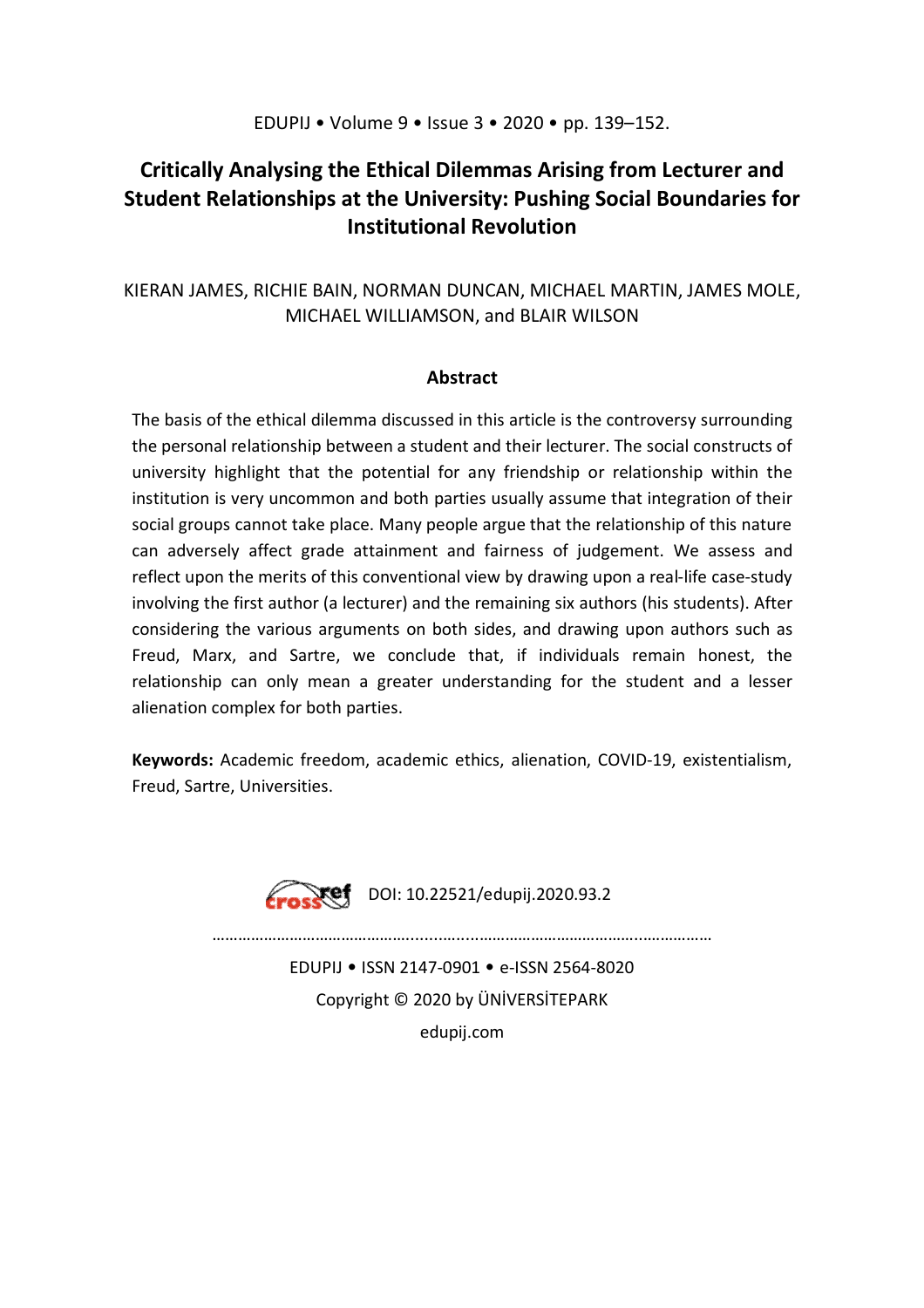## EDUPIJ • Volume 9 • Issue 3 • 2020 • pp. 139–152.

# **Critically Analysing the Ethical Dilemmas Arising from Lecturer and Student Relationships at the University: Pushing Social Boundaries for Institutional Revolution**

# KIERAN JAMES, RICHIE BAIN, NORMAN DUNCAN, MICHAEL MARTIN, JAMES MOLE, MICHAEL WILLIAMSON, and BLAIR WILSON

## **Abstract**

The basis of the ethical dilemma discussed in this article is the controversy surrounding the personal relationship between a student and their lecturer. The social constructs of university highlight that the potential for any friendship or relationship within the institution is very uncommon and both parties usually assume that integration of their social groups cannot take place. Many people argue that the relationship of this nature can adversely affect grade attainment and fairness of judgement. We assess and reflect upon the merits of this conventional view by drawing upon a real-life case-study involving the first author (a lecturer) and the remaining six authors (his students). After considering the various arguments on both sides, and drawing upon authors such as Freud, Marx, and Sartre, we conclude that, if individuals remain honest, the relationship can only mean a greater understanding for the student and a lesser alienation complex for both parties.

**Keywords:** Academic freedom, academic ethics, alienation, COVID-19, existentialism, Freud, Sartre, Universities.



 $Xef$  DOI: 10.22521/edupij.2020.93.2

………………………………………........….....………………………………...……………

EDUPIJ • ISSN 2147-0901 • e-ISSN 2564-8020 Copyright © 2020 by ÜNİVERSİTEPARK edupij.com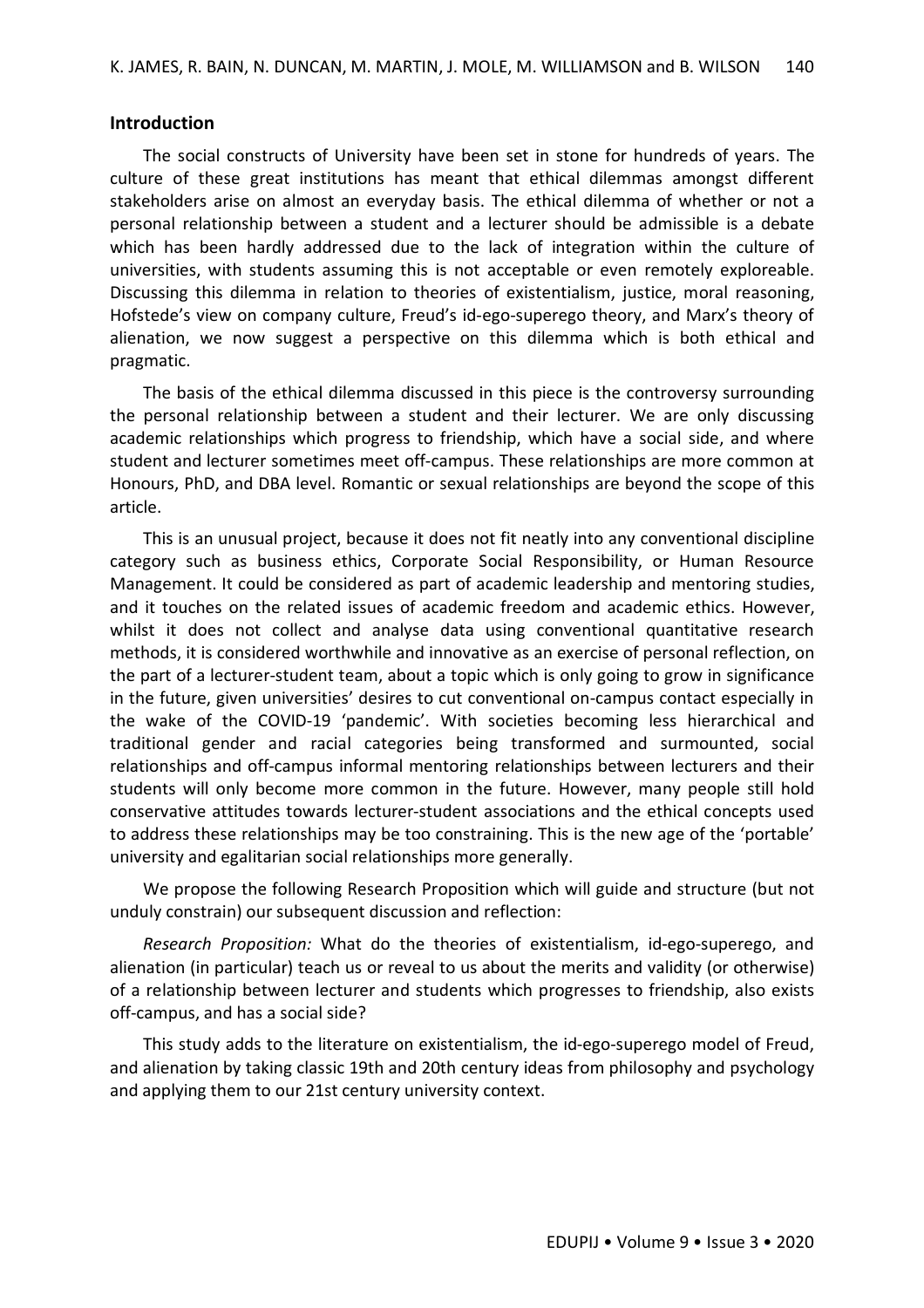### **Introduction**

The social constructs of University have been set in stone for hundreds of years. The culture of these great institutions has meant that ethical dilemmas amongst different stakeholders arise on almost an everyday basis. The ethical dilemma of whether or not a personal relationship between a student and a lecturer should be admissible is a debate which has been hardly addressed due to the lack of integration within the culture of universities, with students assuming this is not acceptable or even remotely exploreable. Discussing this dilemma in relation to theories of existentialism, justice, moral reasoning, Hofstede's view on company culture, Freud's id-ego-superego theory, and Marx's theory of alienation, we now suggest a perspective on this dilemma which is both ethical and pragmatic.

The basis of the ethical dilemma discussed in this piece is the controversy surrounding the personal relationship between a student and their lecturer. We are only discussing academic relationships which progress to friendship, which have a social side, and where student and lecturer sometimes meet off-campus. These relationships are more common at Honours, PhD, and DBA level. Romantic or sexual relationships are beyond the scope of this article.

This is an unusual project, because it does not fit neatly into any conventional discipline category such as business ethics, Corporate Social Responsibility, or Human Resource Management. It could be considered as part of academic leadership and mentoring studies, and it touches on the related issues of academic freedom and academic ethics. However, whilst it does not collect and analyse data using conventional quantitative research methods, it is considered worthwhile and innovative as an exercise of personal reflection, on the part of a lecturer-student team, about a topic which is only going to grow in significance in the future, given universities' desires to cut conventional on-campus contact especially in the wake of the COVID-19 'pandemic'. With societies becoming less hierarchical and traditional gender and racial categories being transformed and surmounted, social relationships and off-campus informal mentoring relationships between lecturers and their students will only become more common in the future. However, many people still hold conservative attitudes towards lecturer-student associations and the ethical concepts used to address these relationships may be too constraining. This is the new age of the 'portable' university and egalitarian social relationships more generally.

We propose the following Research Proposition which will guide and structure (but not unduly constrain) our subsequent discussion and reflection:

*Research Proposition:* What do the theories of existentialism, id-ego-superego, and alienation (in particular) teach us or reveal to us about the merits and validity (or otherwise) of a relationship between lecturer and students which progresses to friendship, also exists off-campus, and has a social side?

This study adds to the literature on existentialism, the id-ego-superego model of Freud, and alienation by taking classic 19th and 20th century ideas from philosophy and psychology and applying them to our 21st century university context.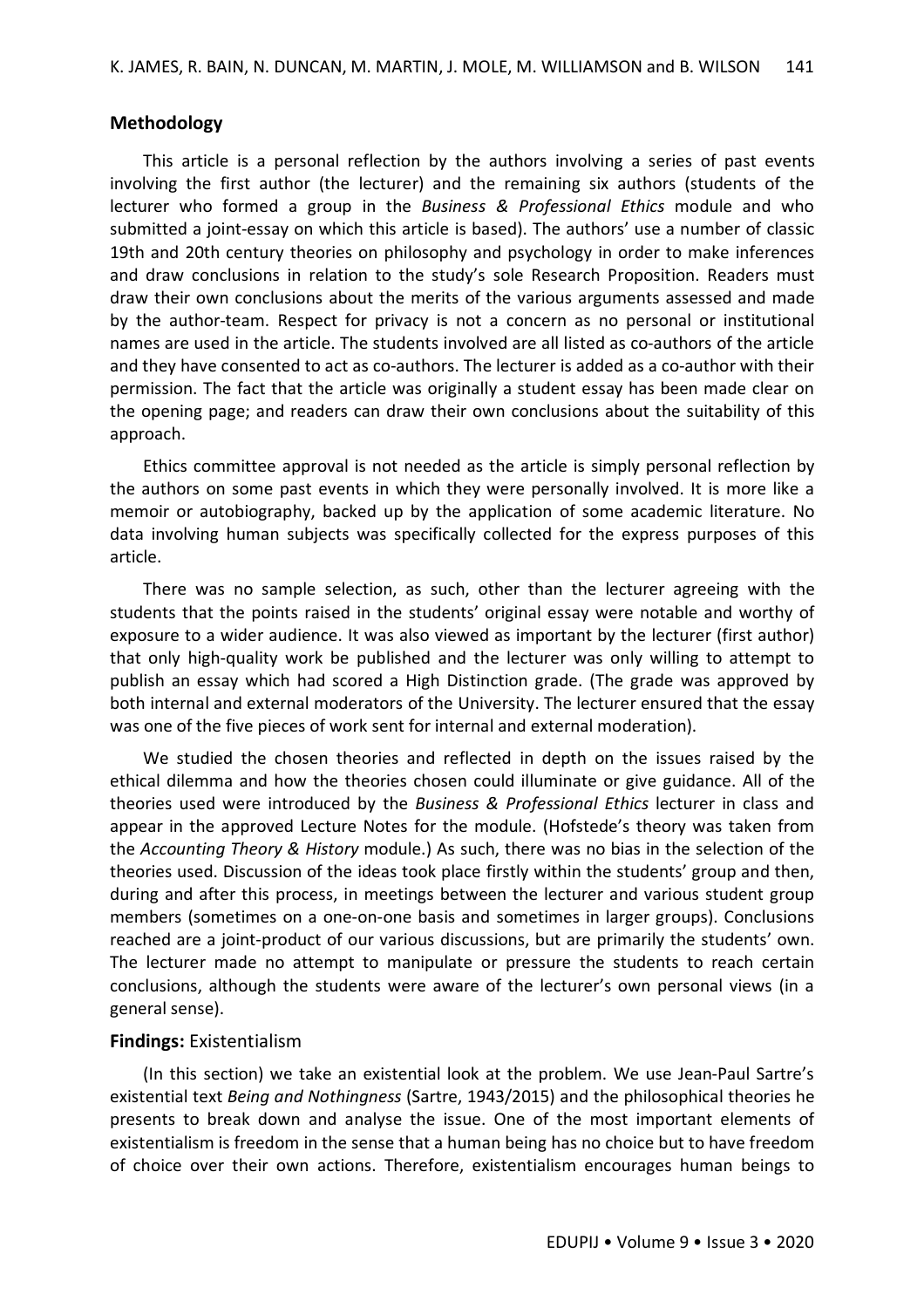### **Methodology**

This article is a personal reflection by the authors involving a series of past events involving the first author (the lecturer) and the remaining six authors (students of the lecturer who formed a group in the *Business & Professional Ethics* module and who submitted a joint-essay on which this article is based). The authors' use a number of classic 19th and 20th century theories on philosophy and psychology in order to make inferences and draw conclusions in relation to the study's sole Research Proposition. Readers must draw their own conclusions about the merits of the various arguments assessed and made by the author-team. Respect for privacy is not a concern as no personal or institutional names are used in the article. The students involved are all listed as co-authors of the article and they have consented to act as co-authors. The lecturer is added as a co-author with their permission. The fact that the article was originally a student essay has been made clear on the opening page; and readers can draw their own conclusions about the suitability of this approach.

Ethics committee approval is not needed as the article is simply personal reflection by the authors on some past events in which they were personally involved. It is more like a memoir or autobiography, backed up by the application of some academic literature. No data involving human subjects was specifically collected for the express purposes of this article.

There was no sample selection, as such, other than the lecturer agreeing with the students that the points raised in the students' original essay were notable and worthy of exposure to a wider audience. It was also viewed as important by the lecturer (first author) that only high-quality work be published and the lecturer was only willing to attempt to publish an essay which had scored a High Distinction grade. (The grade was approved by both internal and external moderators of the University. The lecturer ensured that the essay was one of the five pieces of work sent for internal and external moderation).

We studied the chosen theories and reflected in depth on the issues raised by the ethical dilemma and how the theories chosen could illuminate or give guidance. All of the theories used were introduced by the *Business & Professional Ethics* lecturer in class and appear in the approved Lecture Notes for the module. (Hofstede's theory was taken from the *Accounting Theory & History* module.) As such, there was no bias in the selection of the theories used. Discussion of the ideas took place firstly within the students' group and then, during and after this process, in meetings between the lecturer and various student group members (sometimes on a one-on-one basis and sometimes in larger groups). Conclusions reached are a joint-product of our various discussions, but are primarily the students' own. The lecturer made no attempt to manipulate or pressure the students to reach certain conclusions, although the students were aware of the lecturer's own personal views (in a general sense).

#### **Findings:** Existentialism

(In this section) we take an existential look at the problem. We use Jean-Paul Sartre's existential text *Being and Nothingness* (Sartre, 1943/2015) and the philosophical theories he presents to break down and analyse the issue. One of the most important elements of existentialism is freedom in the sense that a human being has no choice but to have freedom of choice over their own actions. Therefore, existentialism encourages human beings to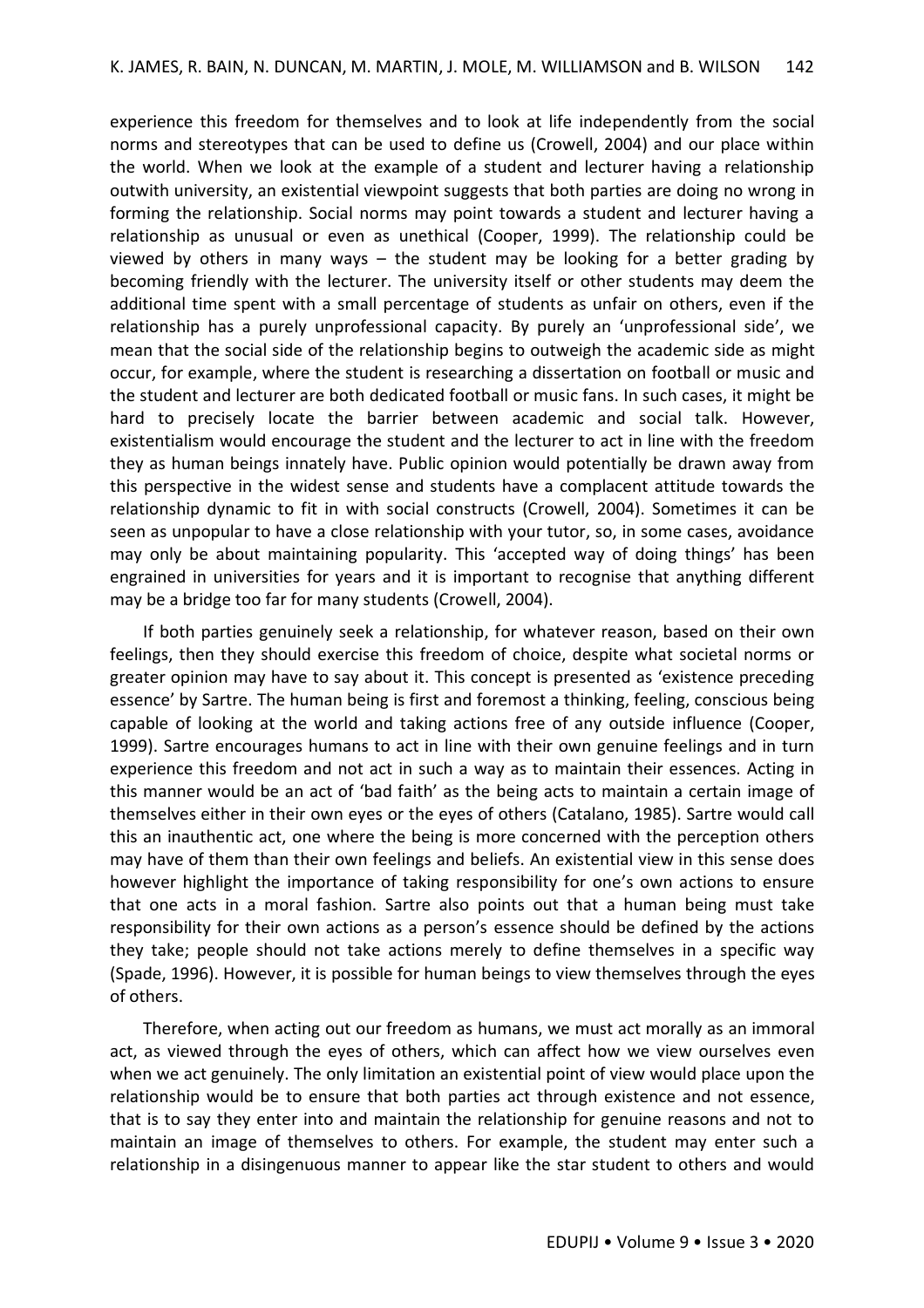experience this freedom for themselves and to look at life independently from the social norms and stereotypes that can be used to define us (Crowell, 2004) and our place within the world. When we look at the example of a student and lecturer having a relationship outwith university, an existential viewpoint suggests that both parties are doing no wrong in forming the relationship. Social norms may point towards a student and lecturer having a relationship as unusual or even as unethical (Cooper, 1999). The relationship could be viewed by others in many ways  $-$  the student may be looking for a better grading by becoming friendly with the lecturer. The university itself or other students may deem the additional time spent with a small percentage of students as unfair on others, even if the relationship has a purely unprofessional capacity. By purely an 'unprofessional side', we mean that the social side of the relationship begins to outweigh the academic side as might occur, for example, where the student is researching a dissertation on football or music and the student and lecturer are both dedicated football or music fans. In such cases, it might be hard to precisely locate the barrier between academic and social talk. However, existentialism would encourage the student and the lecturer to act in line with the freedom they as human beings innately have. Public opinion would potentially be drawn away from this perspective in the widest sense and students have a complacent attitude towards the relationship dynamic to fit in with social constructs (Crowell, 2004). Sometimes it can be seen as unpopular to have a close relationship with your tutor, so, in some cases, avoidance may only be about maintaining popularity. This 'accepted way of doing things' has been engrained in universities for years and it is important to recognise that anything different may be a bridge too far for many students (Crowell, 2004).

If both parties genuinely seek a relationship, for whatever reason, based on their own feelings, then they should exercise this freedom of choice, despite what societal norms or greater opinion may have to say about it. This concept is presented as 'existence preceding essence' by Sartre. The human being is first and foremost a thinking, feeling, conscious being capable of looking at the world and taking actions free of any outside influence (Cooper, 1999). Sartre encourages humans to act in line with their own genuine feelings and in turn experience this freedom and not act in such a way as to maintain their essences. Acting in this manner would be an act of 'bad faith' as the being acts to maintain a certain image of themselves either in their own eyes or the eyes of others (Catalano, 1985). Sartre would call this an inauthentic act, one where the being is more concerned with the perception others may have of them than their own feelings and beliefs. An existential view in this sense does however highlight the importance of taking responsibility for one's own actions to ensure that one acts in a moral fashion. Sartre also points out that a human being must take responsibility for their own actions as a person's essence should be defined by the actions they take; people should not take actions merely to define themselves in a specific way (Spade, 1996). However, it is possible for human beings to view themselves through the eyes of others.

Therefore, when acting out our freedom as humans, we must act morally as an immoral act, as viewed through the eyes of others, which can affect how we view ourselves even when we act genuinely. The only limitation an existential point of view would place upon the relationship would be to ensure that both parties act through existence and not essence, that is to say they enter into and maintain the relationship for genuine reasons and not to maintain an image of themselves to others. For example, the student may enter such a relationship in a disingenuous manner to appear like the star student to others and would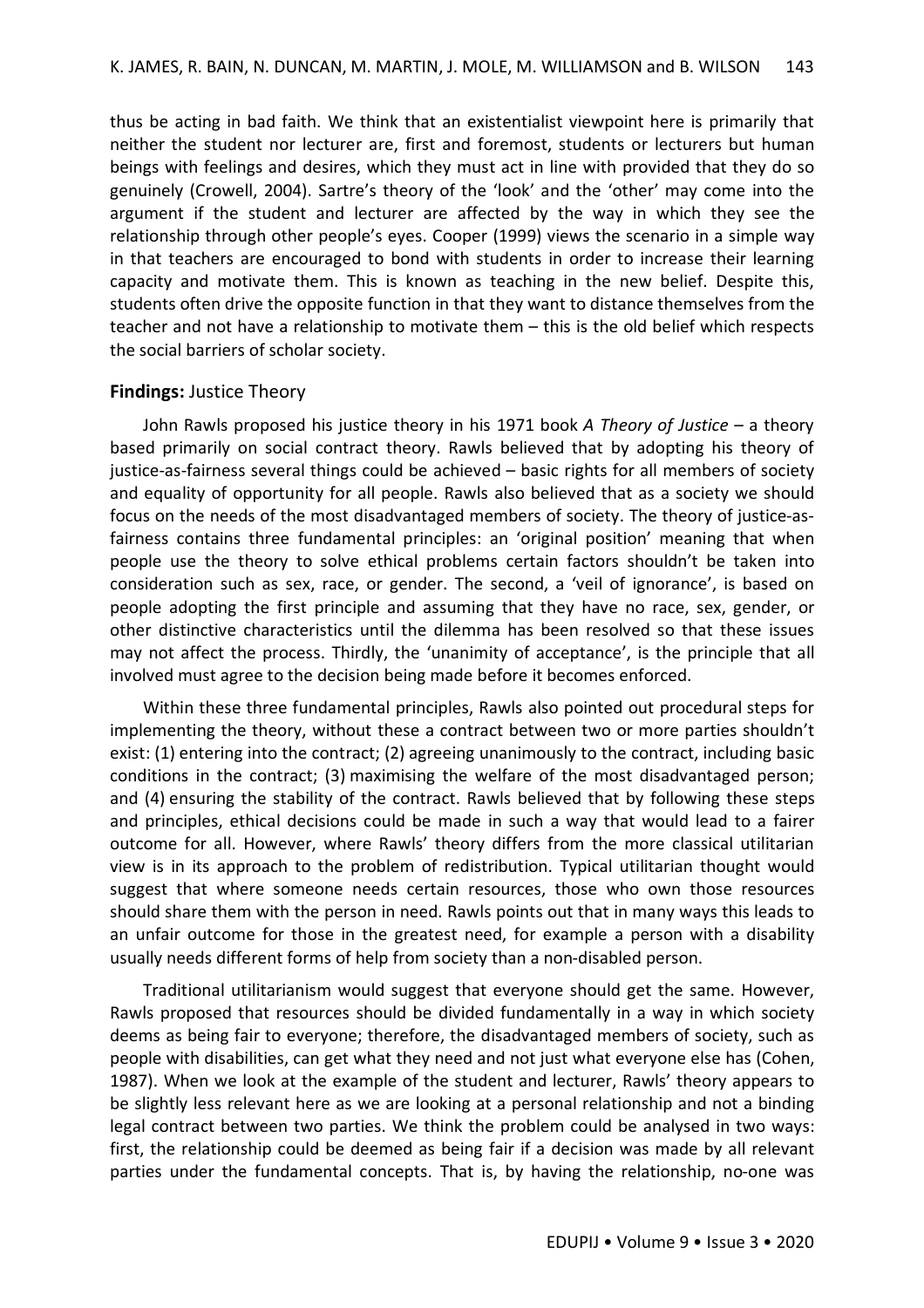thus be acting in bad faith. We think that an existentialist viewpoint here is primarily that neither the student nor lecturer are, first and foremost, students or lecturers but human beings with feelings and desires, which they must act in line with provided that they do so genuinely (Crowell, 2004). Sartre's theory of the 'look' and the 'other' may come into the argument if the student and lecturer are affected by the way in which they see the relationship through other people's eyes. Cooper (1999) views the scenario in a simple way in that teachers are encouraged to bond with students in order to increase their learning capacity and motivate them. This is known as teaching in the new belief. Despite this, students often drive the opposite function in that they want to distance themselves from the teacher and not have a relationship to motivate them – this is the old belief which respects the social barriers of scholar society.

## **Findings:** Justice Theory

John Rawls proposed his justice theory in his 1971 book *A Theory of Justice* – a theory based primarily on social contract theory. Rawls believed that by adopting his theory of justice-as-fairness several things could be achieved – basic rights for all members of society and equality of opportunity for all people. Rawls also believed that as a society we should focus on the needs of the most disadvantaged members of society. The theory of justice-asfairness contains three fundamental principles: an 'original position' meaning that when people use the theory to solve ethical problems certain factors shouldn't be taken into consideration such as sex, race, or gender. The second, a 'veil of ignorance', is based on people adopting the first principle and assuming that they have no race, sex, gender, or other distinctive characteristics until the dilemma has been resolved so that these issues may not affect the process. Thirdly, the 'unanimity of acceptance', is the principle that all involved must agree to the decision being made before it becomes enforced.

Within these three fundamental principles, Rawls also pointed out procedural steps for implementing the theory, without these a contract between two or more parties shouldn't exist: (1) entering into the contract; (2) agreeing unanimously to the contract, including basic conditions in the contract; (3) maximising the welfare of the most disadvantaged person; and (4) ensuring the stability of the contract. Rawls believed that by following these steps and principles, ethical decisions could be made in such a way that would lead to a fairer outcome for all. However, where Rawls' theory differs from the more classical utilitarian view is in its approach to the problem of redistribution. Typical utilitarian thought would suggest that where someone needs certain resources, those who own those resources should share them with the person in need. Rawls points out that in many ways this leads to an unfair outcome for those in the greatest need, for example a person with a disability usually needs different forms of help from society than a non-disabled person.

Traditional utilitarianism would suggest that everyone should get the same. However, Rawls proposed that resources should be divided fundamentally in a way in which society deems as being fair to everyone; therefore, the disadvantaged members of society, such as people with disabilities, can get what they need and not just what everyone else has (Cohen, 1987). When we look at the example of the student and lecturer, Rawls' theory appears to be slightly less relevant here as we are looking at a personal relationship and not a binding legal contract between two parties. We think the problem could be analysed in two ways: first, the relationship could be deemed as being fair if a decision was made by all relevant parties under the fundamental concepts. That is, by having the relationship, no-one was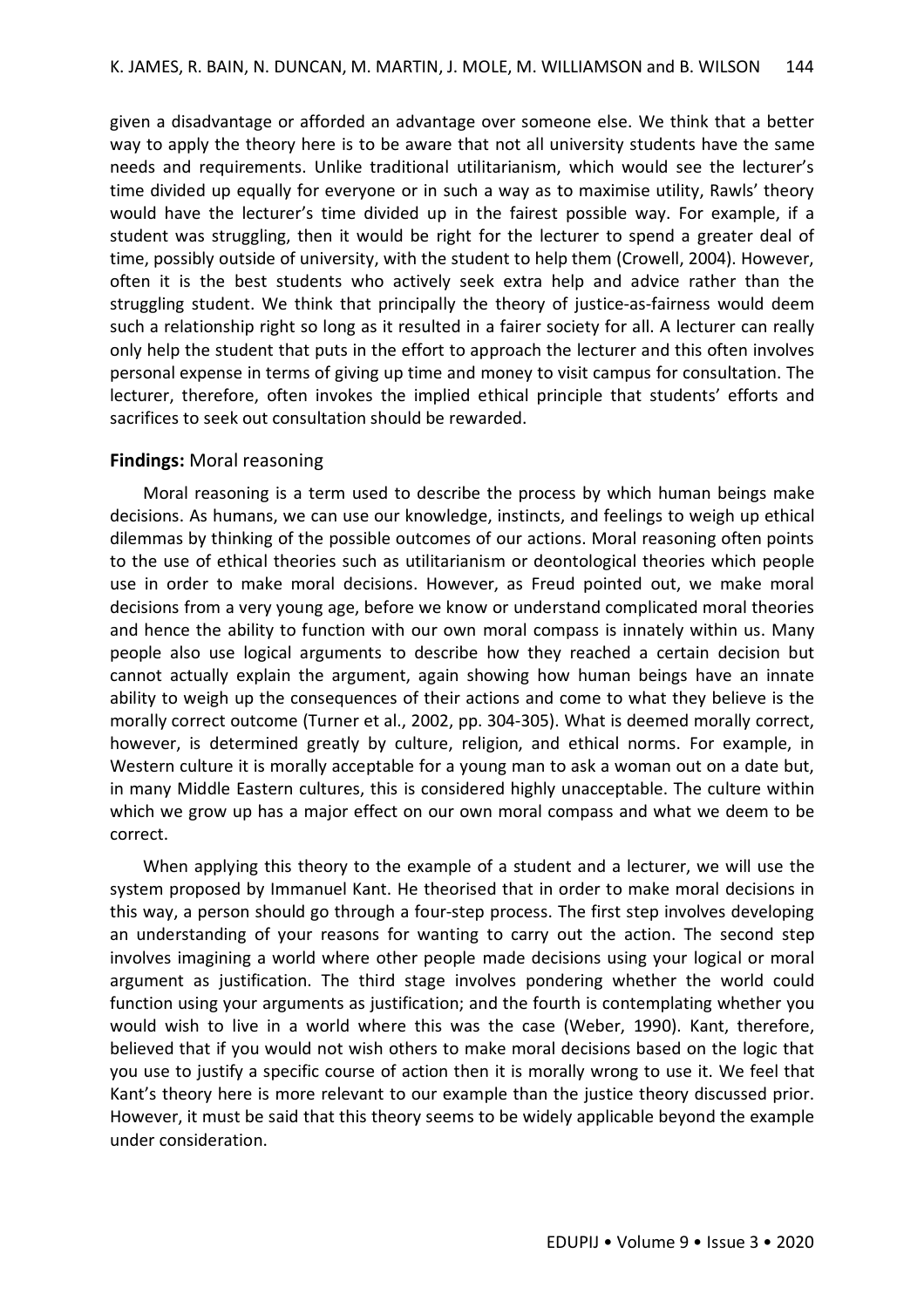given a disadvantage or afforded an advantage over someone else. We think that a better way to apply the theory here is to be aware that not all university students have the same needs and requirements. Unlike traditional utilitarianism, which would see the lecturer's time divided up equally for everyone or in such a way as to maximise utility, Rawls' theory would have the lecturer's time divided up in the fairest possible way. For example, if a student was struggling, then it would be right for the lecturer to spend a greater deal of time, possibly outside of university, with the student to help them (Crowell, 2004). However, often it is the best students who actively seek extra help and advice rather than the struggling student. We think that principally the theory of justice-as-fairness would deem such a relationship right so long as it resulted in a fairer society for all. A lecturer can really only help the student that puts in the effort to approach the lecturer and this often involves personal expense in terms of giving up time and money to visit campus for consultation. The lecturer, therefore, often invokes the implied ethical principle that students' efforts and sacrifices to seek out consultation should be rewarded.

## **Findings:** Moral reasoning

Moral reasoning is a term used to describe the process by which human beings make decisions. As humans, we can use our knowledge, instincts, and feelings to weigh up ethical dilemmas by thinking of the possible outcomes of our actions. Moral reasoning often points to the use of ethical theories such as utilitarianism or deontological theories which people use in order to make moral decisions. However, as Freud pointed out, we make moral decisions from a very young age, before we know or understand complicated moral theories and hence the ability to function with our own moral compass is innately within us. Many people also use logical arguments to describe how they reached a certain decision but cannot actually explain the argument, again showing how human beings have an innate ability to weigh up the consequences of their actions and come to what they believe is the morally correct outcome (Turner et al., 2002, pp. 304-305). What is deemed morally correct, however, is determined greatly by culture, religion, and ethical norms. For example, in Western culture it is morally acceptable for a young man to ask a woman out on a date but, in many Middle Eastern cultures, this is considered highly unacceptable. The culture within which we grow up has a major effect on our own moral compass and what we deem to be correct.

When applying this theory to the example of a student and a lecturer, we will use the system proposed by Immanuel Kant. He theorised that in order to make moral decisions in this way, a person should go through a four-step process. The first step involves developing an understanding of your reasons for wanting to carry out the action. The second step involves imagining a world where other people made decisions using your logical or moral argument as justification. The third stage involves pondering whether the world could function using your arguments as justification; and the fourth is contemplating whether you would wish to live in a world where this was the case (Weber, 1990). Kant, therefore, believed that if you would not wish others to make moral decisions based on the logic that you use to justify a specific course of action then it is morally wrong to use it. We feel that Kant's theory here is more relevant to our example than the justice theory discussed prior. However, it must be said that this theory seems to be widely applicable beyond the example under consideration.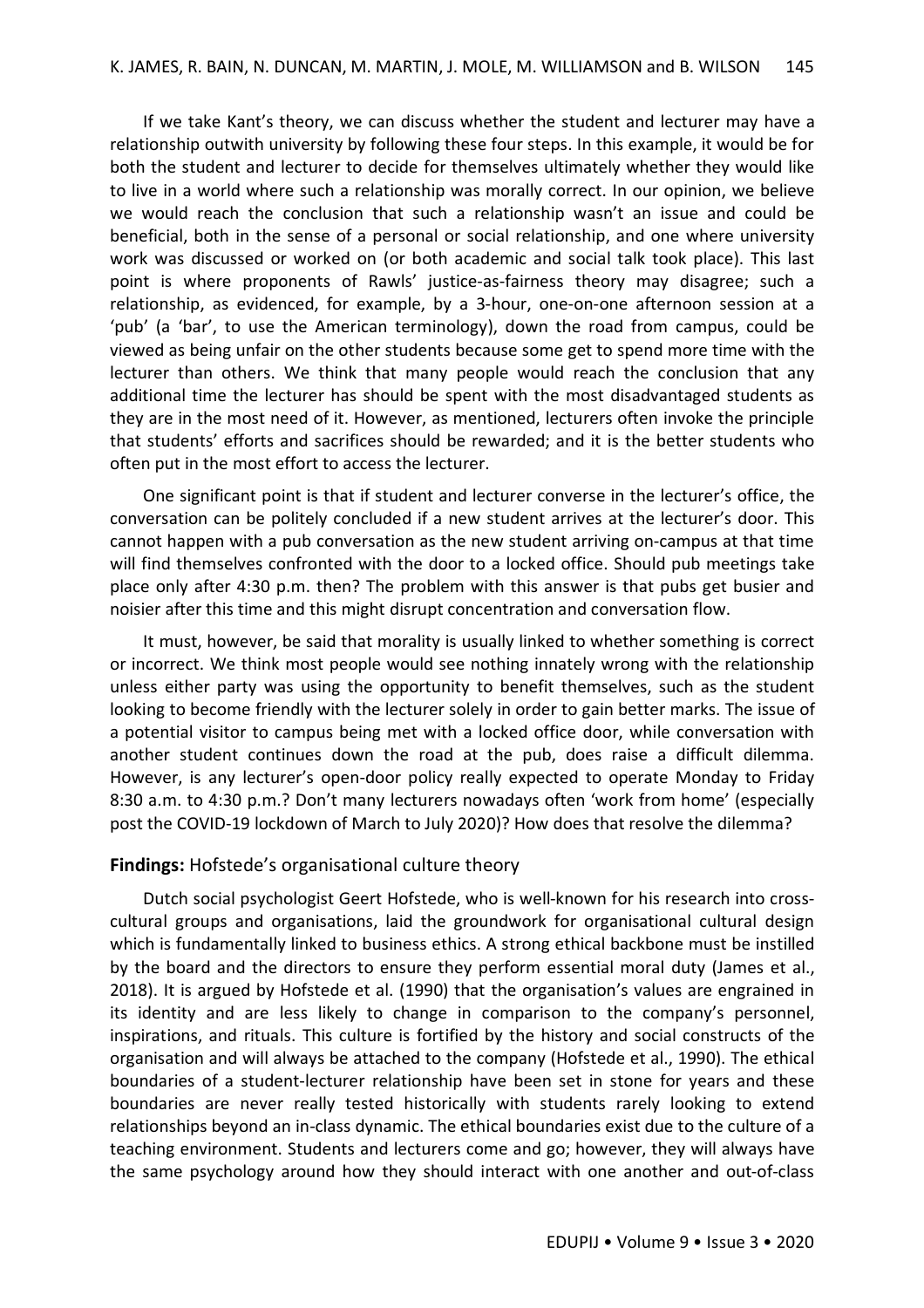If we take Kant's theory, we can discuss whether the student and lecturer may have a relationship outwith university by following these four steps. In this example, it would be for both the student and lecturer to decide for themselves ultimately whether they would like to live in a world where such a relationship was morally correct. In our opinion, we believe we would reach the conclusion that such a relationship wasn't an issue and could be beneficial, both in the sense of a personal or social relationship, and one where university work was discussed or worked on (or both academic and social talk took place). This last point is where proponents of Rawls' justice-as-fairness theory may disagree; such a relationship, as evidenced, for example, by a 3-hour, one-on-one afternoon session at a 'pub' (a 'bar', to use the American terminology), down the road from campus, could be viewed as being unfair on the other students because some get to spend more time with the lecturer than others. We think that many people would reach the conclusion that any additional time the lecturer has should be spent with the most disadvantaged students as they are in the most need of it. However, as mentioned, lecturers often invoke the principle that students' efforts and sacrifices should be rewarded; and it is the better students who often put in the most effort to access the lecturer.

One significant point is that if student and lecturer converse in the lecturer's office, the conversation can be politely concluded if a new student arrives at the lecturer's door. This cannot happen with a pub conversation as the new student arriving on-campus at that time will find themselves confronted with the door to a locked office. Should pub meetings take place only after 4:30 p.m. then? The problem with this answer is that pubs get busier and noisier after this time and this might disrupt concentration and conversation flow.

It must, however, be said that morality is usually linked to whether something is correct or incorrect. We think most people would see nothing innately wrong with the relationship unless either party was using the opportunity to benefit themselves, such as the student looking to become friendly with the lecturer solely in order to gain better marks. The issue of a potential visitor to campus being met with a locked office door, while conversation with another student continues down the road at the pub, does raise a difficult dilemma. However, is any lecturer's open-door policy really expected to operate Monday to Friday 8:30 a.m. to 4:30 p.m.? Don't many lecturers nowadays often 'work from home' (especially post the COVID-19 lockdown of March to July 2020)? How does that resolve the dilemma?

## **Findings:** Hofstede's organisational culture theory

Dutch social psychologist Geert Hofstede, who is well-known for his research into crosscultural groups and organisations, laid the groundwork for organisational cultural design which is fundamentally linked to business ethics. A strong ethical backbone must be instilled by the board and the directors to ensure they perform essential moral duty (James et al., 2018). It is argued by Hofstede et al. (1990) that the organisation's values are engrained in its identity and are less likely to change in comparison to the company's personnel, inspirations, and rituals. This culture is fortified by the history and social constructs of the organisation and will always be attached to the company (Hofstede et al., 1990). The ethical boundaries of a student-lecturer relationship have been set in stone for years and these boundaries are never really tested historically with students rarely looking to extend relationships beyond an in-class dynamic. The ethical boundaries exist due to the culture of a teaching environment. Students and lecturers come and go; however, they will always have the same psychology around how they should interact with one another and out-of-class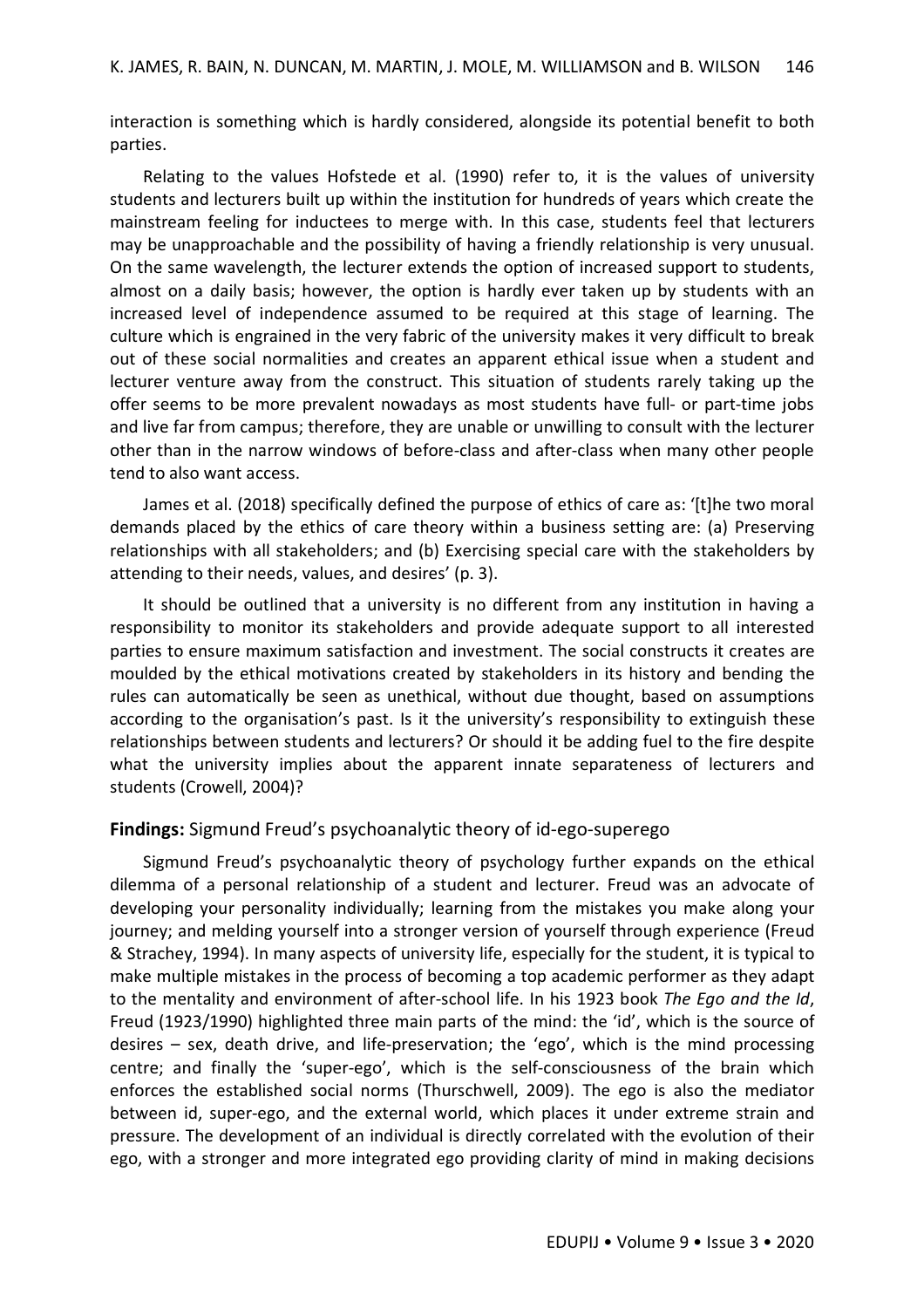interaction is something which is hardly considered, alongside its potential benefit to both parties.

Relating to the values Hofstede et al. (1990) refer to, it is the values of university students and lecturers built up within the institution for hundreds of years which create the mainstream feeling for inductees to merge with. In this case, students feel that lecturers may be unapproachable and the possibility of having a friendly relationship is very unusual. On the same wavelength, the lecturer extends the option of increased support to students, almost on a daily basis; however, the option is hardly ever taken up by students with an increased level of independence assumed to be required at this stage of learning. The culture which is engrained in the very fabric of the university makes it very difficult to break out of these social normalities and creates an apparent ethical issue when a student and lecturer venture away from the construct. This situation of students rarely taking up the offer seems to be more prevalent nowadays as most students have full- or part-time jobs and live far from campus; therefore, they are unable or unwilling to consult with the lecturer other than in the narrow windows of before-class and after-class when many other people tend to also want access.

James et al. (2018) specifically defined the purpose of ethics of care as: '[t]he two moral demands placed by the ethics of care theory within a business setting are: (a) Preserving relationships with all stakeholders; and (b) Exercising special care with the stakeholders by attending to their needs, values, and desires' (p. 3).

It should be outlined that a university is no different from any institution in having a responsibility to monitor its stakeholders and provide adequate support to all interested parties to ensure maximum satisfaction and investment. The social constructs it creates are moulded by the ethical motivations created by stakeholders in its history and bending the rules can automatically be seen as unethical, without due thought, based on assumptions according to the organisation's past. Is it the university's responsibility to extinguish these relationships between students and lecturers? Or should it be adding fuel to the fire despite what the university implies about the apparent innate separateness of lecturers and students (Crowell, 2004)?

## **Findings:** Sigmund Freud's psychoanalytic theory of id-ego-superego

Sigmund Freud's psychoanalytic theory of psychology further expands on the ethical dilemma of a personal relationship of a student and lecturer. Freud was an advocate of developing your personality individually; learning from the mistakes you make along your journey; and melding yourself into a stronger version of yourself through experience (Freud & Strachey, 1994). In many aspects of university life, especially for the student, it is typical to make multiple mistakes in the process of becoming a top academic performer as they adapt to the mentality and environment of after-school life. In his 1923 book *The Ego and the Id*, Freud (1923/1990) highlighted three main parts of the mind: the 'id', which is the source of desires – sex, death drive, and life-preservation; the 'ego', which is the mind processing centre; and finally the 'super-ego', which is the self-consciousness of the brain which enforces the established social norms (Thurschwell, 2009). The ego is also the mediator between id, super-ego, and the external world, which places it under extreme strain and pressure. The development of an individual is directly correlated with the evolution of their ego, with a stronger and more integrated ego providing clarity of mind in making decisions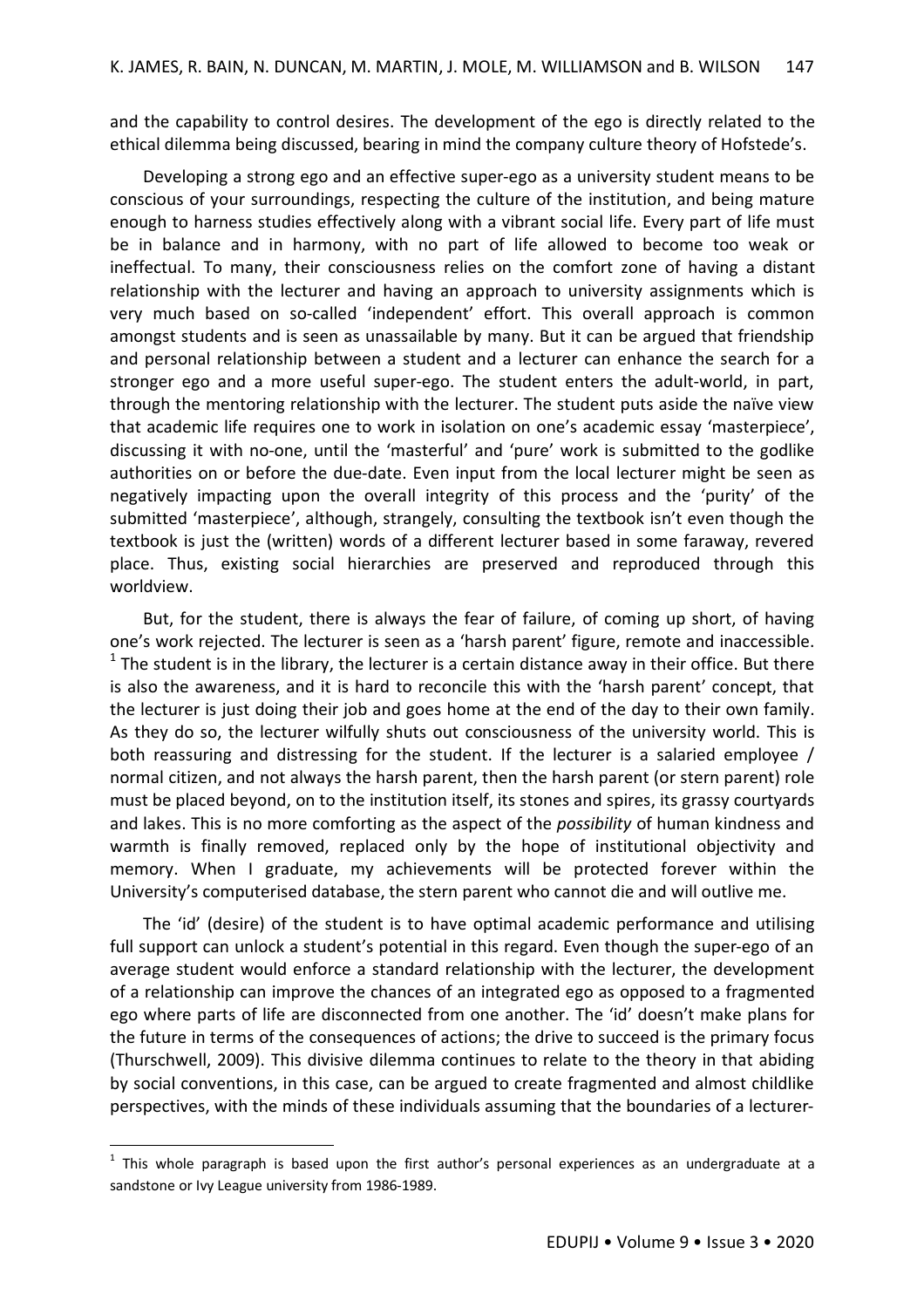and the capability to control desires. The development of the ego is directly related to the ethical dilemma being discussed, bearing in mind the company culture theory of Hofstede's.

Developing a strong ego and an effective super-ego as a university student means to be conscious of your surroundings, respecting the culture of the institution, and being mature enough to harness studies effectively along with a vibrant social life. Every part of life must be in balance and in harmony, with no part of life allowed to become too weak or ineffectual. To many, their consciousness relies on the comfort zone of having a distant relationship with the lecturer and having an approach to university assignments which is very much based on so-called 'independent' effort. This overall approach is common amongst students and is seen as unassailable by many. But it can be argued that friendship and personal relationship between a student and a lecturer can enhance the search for a stronger ego and a more useful super-ego. The student enters the adult-world, in part, through the mentoring relationship with the lecturer. The student puts aside the naïve view that academic life requires one to work in isolation on one's academic essay 'masterpiece', discussing it with no-one, until the 'masterful' and 'pure' work is submitted to the godlike authorities on or before the due-date. Even input from the local lecturer might be seen as negatively impacting upon the overall integrity of this process and the 'purity' of the submitted 'masterpiece', although, strangely, consulting the textbook isn't even though the textbook is just the (written) words of a different lecturer based in some faraway, revered place. Thus, existing social hierarchies are preserved and reproduced through this worldview.

But, for the student, there is always the fear of failure, of coming up short, of having one's work rejected. The lecturer is seen as a 'harsh parent' figure, remote and inaccessible.  $1$  The student is in the library, the lecturer is a certain distance away in their office. But there is also the awareness, and it is hard to reconcile this with the 'harsh parent' concept, that the lecturer is just doing their job and goes home at the end of the day to their own family. As they do so, the lecturer wilfully shuts out consciousness of the university world. This is both reassuring and distressing for the student. If the lecturer is a salaried employee / normal citizen, and not always the harsh parent, then the harsh parent (or stern parent) role must be placed beyond, on to the institution itself, its stones and spires, its grassy courtyards and lakes. This is no more comforting as the aspect of the *possibility* of human kindness and warmth is finally removed, replaced only by the hope of institutional objectivity and memory. When I graduate, my achievements will be protected forever within the University's computerised database, the stern parent who cannot die and will outlive me.

The 'id' (desire) of the student is to have optimal academic performance and utilising full support can unlock a student's potential in this regard. Even though the super-ego of an average student would enforce a standard relationship with the lecturer, the development of a relationship can improve the chances of an integrated ego as opposed to a fragmented ego where parts of life are disconnected from one another. The 'id' doesn't make plans for the future in terms of the consequences of actions; the drive to succeed is the primary focus (Thurschwell, 2009). This divisive dilemma continues to relate to the theory in that abiding by social conventions, in this case, can be argued to create fragmented and almost childlike perspectives, with the minds of these individuals assuming that the boundaries of a lecturer-

 $\ddot{\phantom{a}}$ 

 $<sup>1</sup>$  This whole paragraph is based upon the first author's personal experiences as an undergraduate at a</sup> sandstone or Ivy League university from 1986-1989.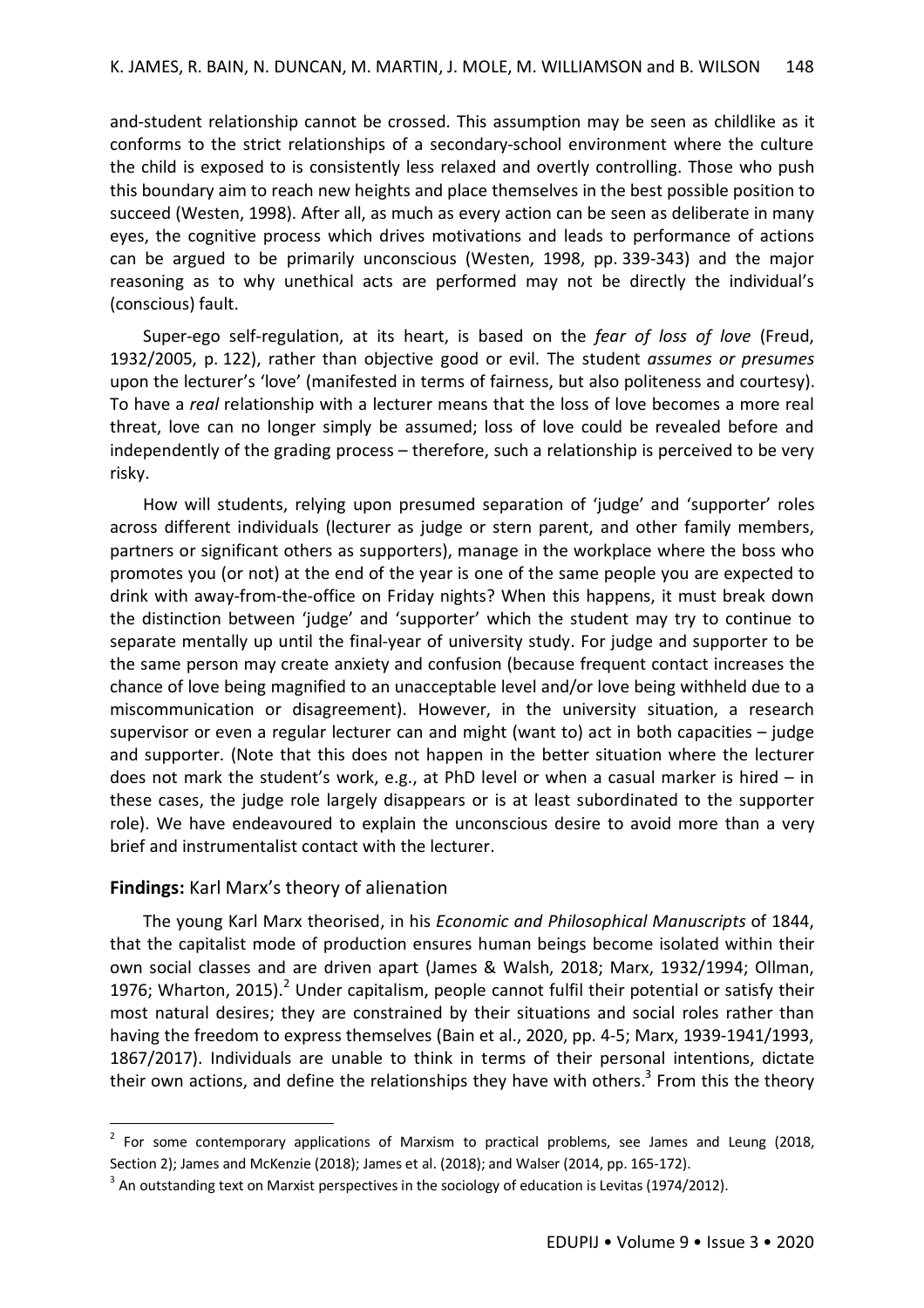and-student relationship cannot be crossed. This assumption may be seen as childlike as it conforms to the strict relationships of a secondary-school environment where the culture the child is exposed to is consistently less relaxed and overtly controlling. Those who push this boundary aim to reach new heights and place themselves in the best possible position to succeed (Westen, 1998). After all, as much as every action can be seen as deliberate in many eyes, the cognitive process which drives motivations and leads to performance of actions can be argued to be primarily unconscious (Westen, 1998, pp. 339-343) and the major reasoning as to why unethical acts are performed may not be directly the individual's (conscious) fault.

Super-ego self-regulation, at its heart, is based on the *fear of loss of love* (Freud, 1932/2005, p. 122), rather than objective good or evil. The student *assumes or presumes* upon the lecturer's 'love' (manifested in terms of fairness, but also politeness and courtesy). To have a *real* relationship with a lecturer means that the loss of love becomes a more real threat, love can no longer simply be assumed; loss of love could be revealed before and independently of the grading process – therefore, such a relationship is perceived to be very risky.

How will students, relying upon presumed separation of 'judge' and 'supporter' roles across different individuals (lecturer as judge or stern parent, and other family members, partners or significant others as supporters), manage in the workplace where the boss who promotes you (or not) at the end of the year is one of the same people you are expected to drink with away-from-the-office on Friday nights? When this happens, it must break down the distinction between 'judge' and 'supporter' which the student may try to continue to separate mentally up until the final-year of university study. For judge and supporter to be the same person may create anxiety and confusion (because frequent contact increases the chance of love being magnified to an unacceptable level and/or love being withheld due to a miscommunication or disagreement). However, in the university situation, a research supervisor or even a regular lecturer can and might (want to) act in both capacities – judge and supporter. (Note that this does not happen in the better situation where the lecturer does not mark the student's work, e.g., at PhD level or when a casual marker is hired – in these cases, the judge role largely disappears or is at least subordinated to the supporter role). We have endeavoured to explain the unconscious desire to avoid more than a very brief and instrumentalist contact with the lecturer.

# **Findings:** Karl Marx's theory of alienation

1

The young Karl Marx theorised, in his *Economic and Philosophical Manuscripts* of 1844, that the capitalist mode of production ensures human beings become isolated within their own social classes and are driven apart (James & Walsh, 2018; Marx, 1932/1994; Ollman, 1976; Wharton, 2015).<sup>2</sup> Under capitalism, people cannot fulfil their potential or satisfy their most natural desires; they are constrained by their situations and social roles rather than having the freedom to express themselves (Bain et al., 2020, pp. 4-5; Marx, 1939-1941/1993, 1867/2017). Individuals are unable to think in terms of their personal intentions, dictate their own actions, and define the relationships they have with others.<sup>3</sup> From this the theory

<sup>&</sup>lt;sup>2</sup> For some contemporary applications of Marxism to practical problems, see James and Leung (2018, Section 2); James and McKenzie (2018); James et al. (2018); and Walser (2014, pp. 165-172).

 $3$  An outstanding text on Marxist perspectives in the sociology of education is Levitas (1974/2012).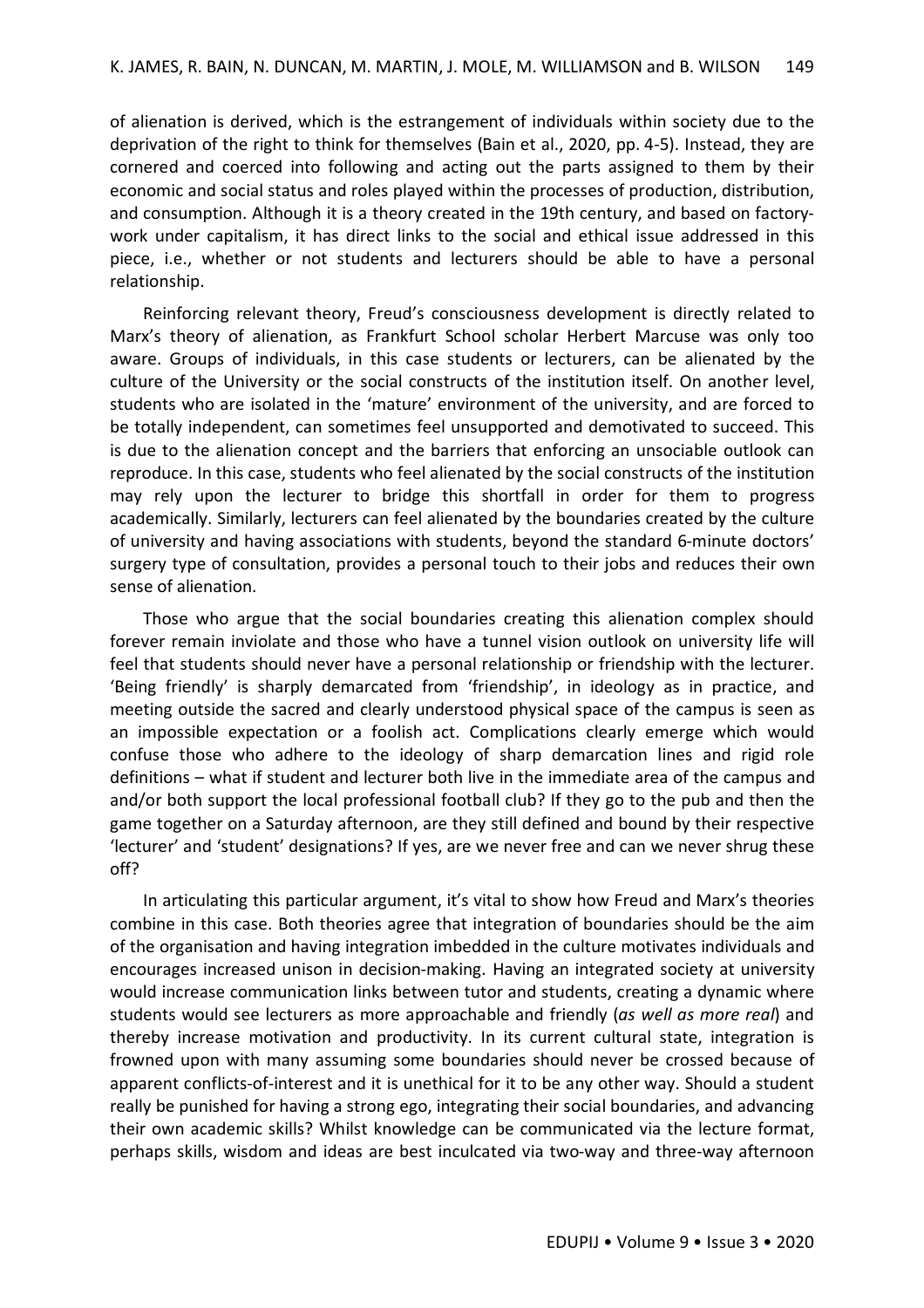of alienation is derived, which is the estrangement of individuals within society due to the deprivation of the right to think for themselves (Bain et al., 2020, pp. 4-5). Instead, they are cornered and coerced into following and acting out the parts assigned to them by their economic and social status and roles played within the processes of production, distribution, and consumption. Although it is a theory created in the 19th century, and based on factorywork under capitalism, it has direct links to the social and ethical issue addressed in this piece, i.e., whether or not students and lecturers should be able to have a personal relationship.

Reinforcing relevant theory, Freud's consciousness development is directly related to Marx's theory of alienation, as Frankfurt School scholar Herbert Marcuse was only too aware. Groups of individuals, in this case students or lecturers, can be alienated by the culture of the University or the social constructs of the institution itself. On another level, students who are isolated in the 'mature' environment of the university, and are forced to be totally independent, can sometimes feel unsupported and demotivated to succeed. This is due to the alienation concept and the barriers that enforcing an unsociable outlook can reproduce. In this case, students who feel alienated by the social constructs of the institution may rely upon the lecturer to bridge this shortfall in order for them to progress academically. Similarly, lecturers can feel alienated by the boundaries created by the culture of university and having associations with students, beyond the standard 6-minute doctors' surgery type of consultation, provides a personal touch to their jobs and reduces their own sense of alienation.

Those who argue that the social boundaries creating this alienation complex should forever remain inviolate and those who have a tunnel vision outlook on university life will feel that students should never have a personal relationship or friendship with the lecturer. 'Being friendly' is sharply demarcated from 'friendship', in ideology as in practice, and meeting outside the sacred and clearly understood physical space of the campus is seen as an impossible expectation or a foolish act. Complications clearly emerge which would confuse those who adhere to the ideology of sharp demarcation lines and rigid role definitions – what if student and lecturer both live in the immediate area of the campus and and/or both support the local professional football club? If they go to the pub and then the game together on a Saturday afternoon, are they still defined and bound by their respective 'lecturer' and 'student' designations? If yes, are we never free and can we never shrug these off?

In articulating this particular argument, it's vital to show how Freud and Marx's theories combine in this case. Both theories agree that integration of boundaries should be the aim of the organisation and having integration imbedded in the culture motivates individuals and encourages increased unison in decision-making. Having an integrated society at university would increase communication links between tutor and students, creating a dynamic where students would see lecturers as more approachable and friendly (*as well as more real*) and thereby increase motivation and productivity. In its current cultural state, integration is frowned upon with many assuming some boundaries should never be crossed because of apparent conflicts-of-interest and it is unethical for it to be any other way. Should a student really be punished for having a strong ego, integrating their social boundaries, and advancing their own academic skills? Whilst knowledge can be communicated via the lecture format, perhaps skills, wisdom and ideas are best inculcated via two-way and three-way afternoon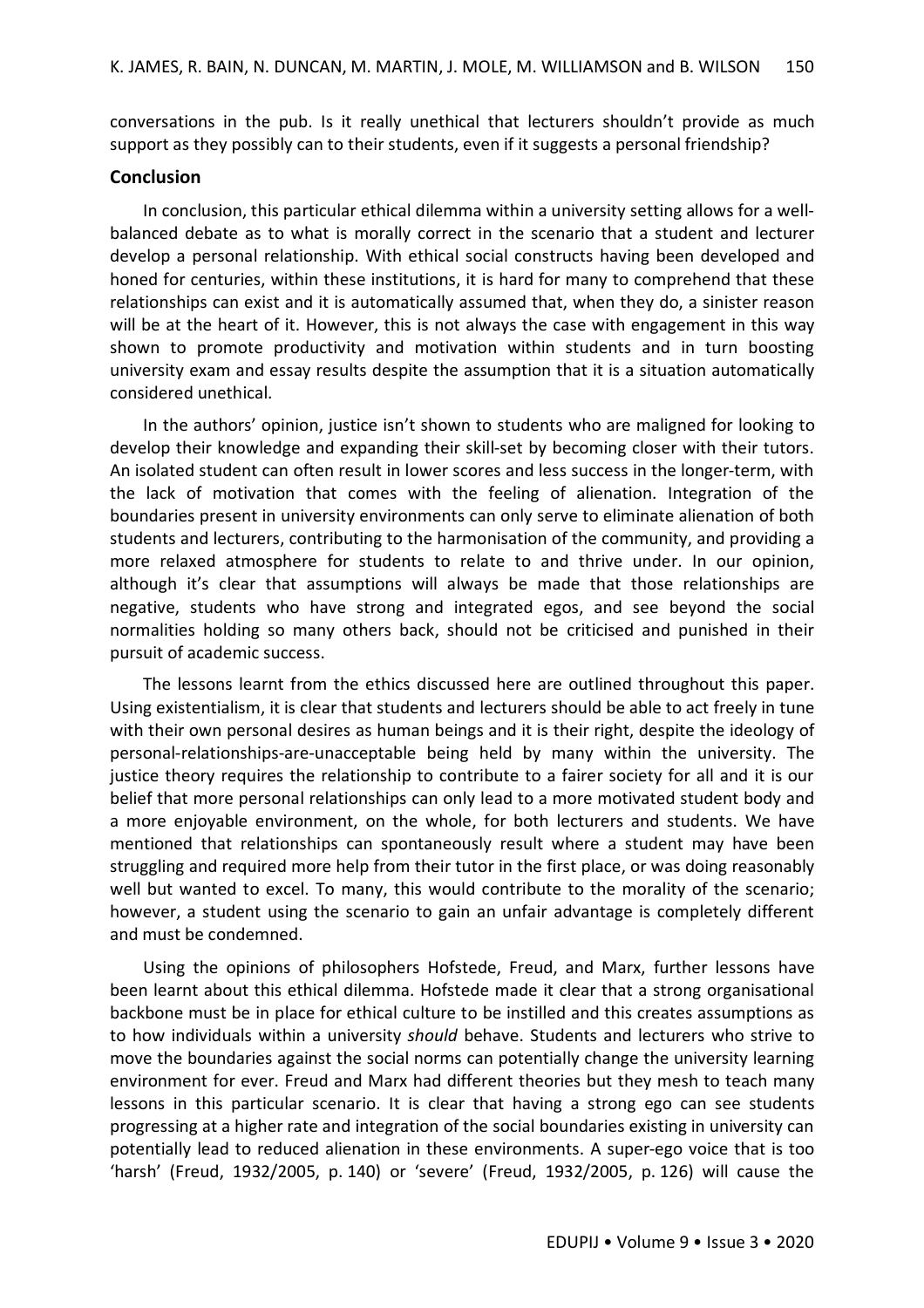conversations in the pub. Is it really unethical that lecturers shouldn't provide as much support as they possibly can to their students, even if it suggests a personal friendship?

### **Conclusion**

In conclusion, this particular ethical dilemma within a university setting allows for a wellbalanced debate as to what is morally correct in the scenario that a student and lecturer develop a personal relationship. With ethical social constructs having been developed and honed for centuries, within these institutions, it is hard for many to comprehend that these relationships can exist and it is automatically assumed that, when they do, a sinister reason will be at the heart of it. However, this is not always the case with engagement in this way shown to promote productivity and motivation within students and in turn boosting university exam and essay results despite the assumption that it is a situation automatically considered unethical.

In the authors' opinion, justice isn't shown to students who are maligned for looking to develop their knowledge and expanding their skill-set by becoming closer with their tutors. An isolated student can often result in lower scores and less success in the longer-term, with the lack of motivation that comes with the feeling of alienation. Integration of the boundaries present in university environments can only serve to eliminate alienation of both students and lecturers, contributing to the harmonisation of the community, and providing a more relaxed atmosphere for students to relate to and thrive under. In our opinion, although it's clear that assumptions will always be made that those relationships are negative, students who have strong and integrated egos, and see beyond the social normalities holding so many others back, should not be criticised and punished in their pursuit of academic success.

The lessons learnt from the ethics discussed here are outlined throughout this paper. Using existentialism, it is clear that students and lecturers should be able to act freely in tune with their own personal desires as human beings and it is their right, despite the ideology of personal-relationships-are-unacceptable being held by many within the university. The justice theory requires the relationship to contribute to a fairer society for all and it is our belief that more personal relationships can only lead to a more motivated student body and a more enjoyable environment, on the whole, for both lecturers and students. We have mentioned that relationships can spontaneously result where a student may have been struggling and required more help from their tutor in the first place, or was doing reasonably well but wanted to excel. To many, this would contribute to the morality of the scenario; however, a student using the scenario to gain an unfair advantage is completely different and must be condemned.

Using the opinions of philosophers Hofstede, Freud, and Marx, further lessons have been learnt about this ethical dilemma. Hofstede made it clear that a strong organisational backbone must be in place for ethical culture to be instilled and this creates assumptions as to how individuals within a university *should* behave. Students and lecturers who strive to move the boundaries against the social norms can potentially change the university learning environment for ever. Freud and Marx had different theories but they mesh to teach many lessons in this particular scenario. It is clear that having a strong ego can see students progressing at a higher rate and integration of the social boundaries existing in university can potentially lead to reduced alienation in these environments. A super-ego voice that is too 'harsh' (Freud, 1932/2005, p. 140) or 'severe' (Freud, 1932/2005, p. 126) will cause the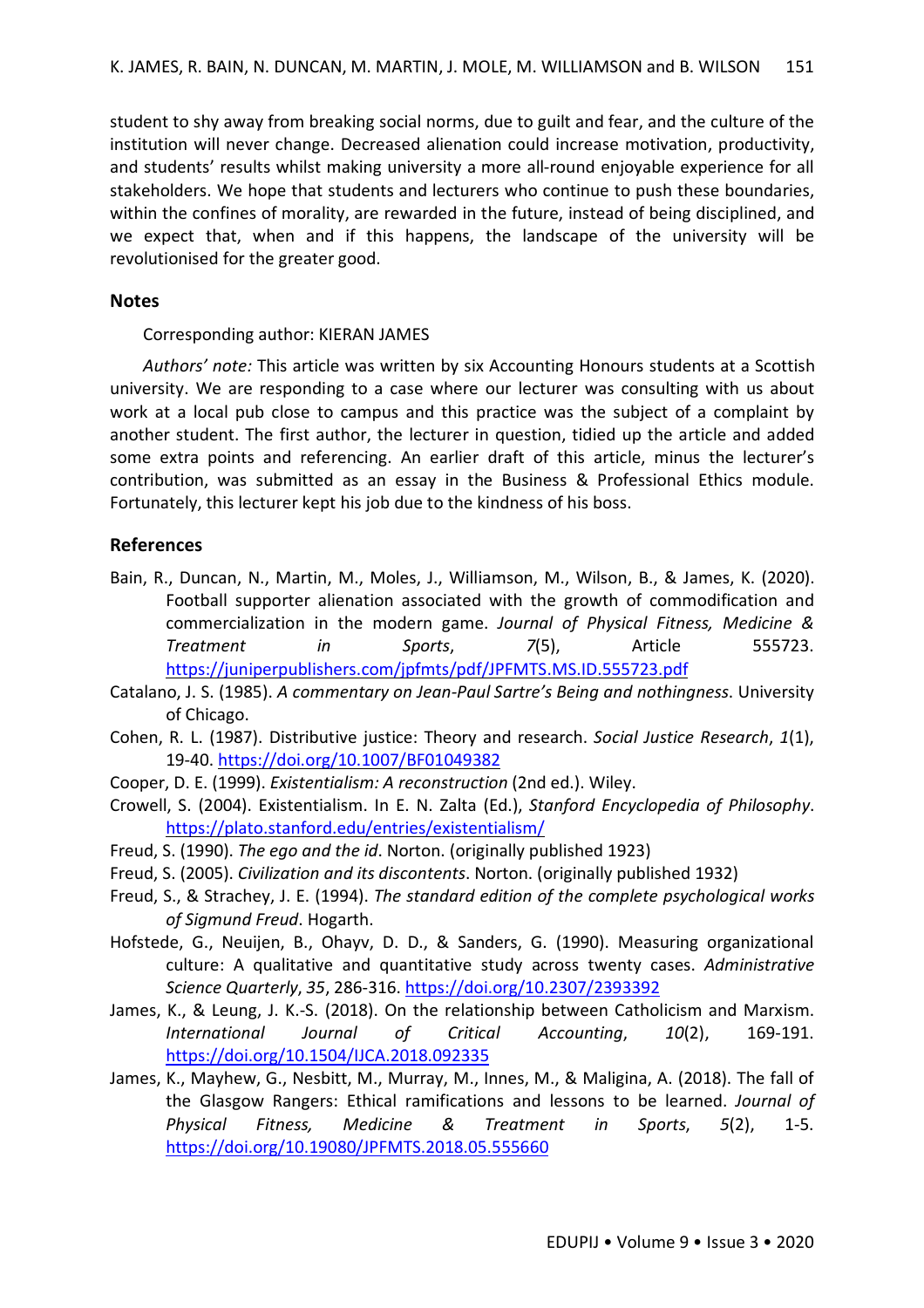student to shy away from breaking social norms, due to guilt and fear, and the culture of the institution will never change. Decreased alienation could increase motivation, productivity, and students' results whilst making university a more all-round enjoyable experience for all stakeholders. We hope that students and lecturers who continue to push these boundaries, within the confines of morality, are rewarded in the future, instead of being disciplined, and we expect that, when and if this happens, the landscape of the university will be revolutionised for the greater good.

## **Notes**

Corresponding author: KIERAN JAMES

*Authors' note:* This article was written by six Accounting Honours students at a Scottish university. We are responding to a case where our lecturer was consulting with us about work at a local pub close to campus and this practice was the subject of a complaint by another student. The first author, the lecturer in question, tidied up the article and added some extra points and referencing. An earlier draft of this article, minus the lecturer's contribution, was submitted as an essay in the Business & Professional Ethics module. Fortunately, this lecturer kept his job due to the kindness of his boss.

## **References**

- Bain, R., Duncan, N., Martin, M., Moles, J., Williamson, M., Wilson, B., & James, K. (2020). Football supporter alienation associated with the growth of commodification and commercialization in the modern game. *Journal of Physical Fitness, Medicine & Treatment in Sports*, *7*(5), Article 555723. https://juniperpublishers.com/jpfmts/pdf/JPFMTS.MS.ID.555723.pdf
- Catalano, J. S. (1985). *A commentary on Jean-Paul Sartre's Being and nothingness*. University of Chicago.
- Cohen, R. L. (1987). Distributive justice: Theory and research. *Social Justice Research*, *1*(1), 19-40. https://doi.org/10.1007/BF01049382
- Cooper, D. E. (1999). *Existentialism: A reconstruction* (2nd ed.). Wiley.
- Crowell, S. (2004). Existentialism. In E. N. Zalta (Ed.), *Stanford Encyclopedia of Philosophy*. https://plato.stanford.edu/entries/existentialism/
- Freud, S. (1990). *The ego and the id*. Norton. (originally published 1923)
- Freud, S. (2005). *Civilization and its discontents*. Norton. (originally published 1932)
- Freud, S., & Strachey, J. E. (1994). *The standard edition of the complete psychological works of Sigmund Freud*. Hogarth.
- Hofstede, G., Neuijen, B., Ohayv, D. D., & Sanders, G. (1990). Measuring organizational culture: A qualitative and quantitative study across twenty cases. *Administrative Science Quarterly*, *35*, 286-316. https://doi.org/10.2307/2393392
- James, K., & Leung, J. K.-S. (2018). On the relationship between Catholicism and Marxism. *International Journal of Critical Accounting*, *10*(2), 169-191. https://doi.org/10.1504/IJCA.2018.092335
- James, K., Mayhew, G., Nesbitt, M., Murray, M., Innes, M., & Maligina, A. (2018). The fall of the Glasgow Rangers: Ethical ramifications and lessons to be learned. *Journal of Physical Fitness, Medicine & Treatment in Sports*, *5*(2), 1-5. https://doi.org/10.19080/JPFMTS.2018.05.555660